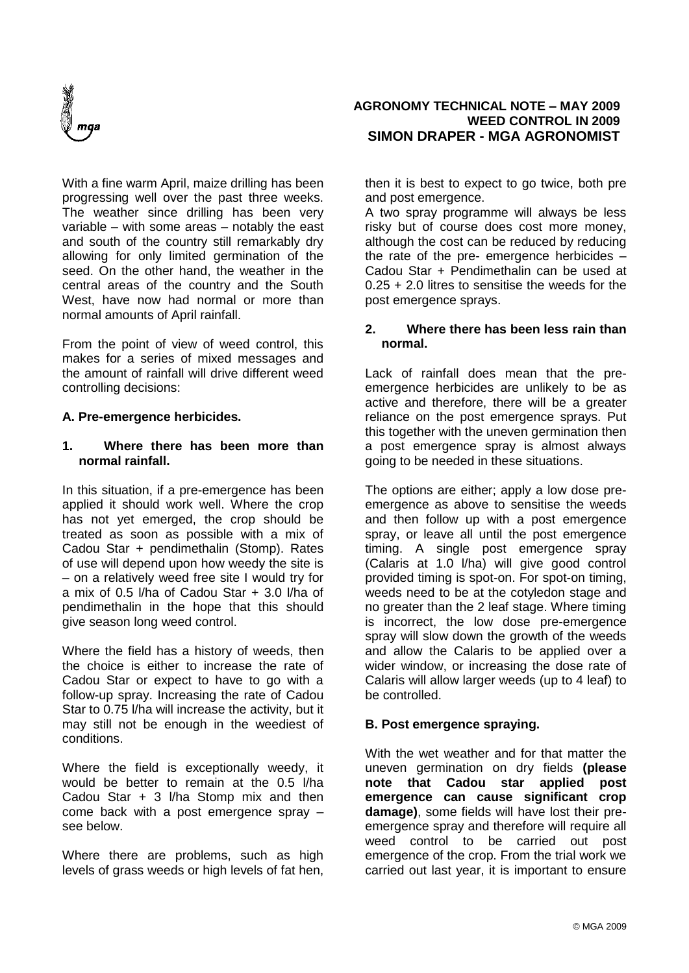

With a fine warm April, maize drilling has been progressing well over the past three weeks. The weather since drilling has been very variable – with some areas – notably the east and south of the country still remarkably dry allowing for only limited germination of the seed. On the other hand, the weather in the central areas of the country and the South West, have now had normal or more than normal amounts of April rainfall.

From the point of view of weed control, this makes for a series of mixed messages and the amount of rainfall will drive different weed controlling decisions:

# **A. Pre-emergence herbicides.**

#### **1. Where there has been more than normal rainfall.**

In this situation, if a pre-emergence has been applied it should work well. Where the crop has not yet emerged, the crop should be treated as soon as possible with a mix of Cadou Star + pendimethalin (Stomp). Rates of use will depend upon how weedy the site is – on a relatively weed free site I would try for a mix of 0.5 l/ha of Cadou Star + 3.0 l/ha of pendimethalin in the hope that this should give season long weed control.

Where the field has a history of weeds, then the choice is either to increase the rate of Cadou Star or expect to have to go with a follow-up spray. Increasing the rate of Cadou Star to 0.75 l/ha will increase the activity, but it may still not be enough in the weediest of conditions.

Where the field is exceptionally weedy, it would be better to remain at the 0.5 l/ha Cadou Star + 3 l/ha Stomp mix and then come back with a post emergence spray – see below.

Where there are problems, such as high levels of grass weeds or high levels of fat hen,

#### **AGRONOMY TECHNICAL NOTE – MAY 2009 WEED CONTROL IN 2009 SIMON DRAPER - MGA AGRONOMIST**

then it is best to expect to go twice, both pre and post emergence.

A two spray programme will always be less risky but of course does cost more money, although the cost can be reduced by reducing the rate of the pre- emergence herbicides – Cadou Star + Pendimethalin can be used at 0.25 + 2.0 litres to sensitise the weeds for the post emergence sprays.

### **2. Where there has been less rain than normal.**

Lack of rainfall does mean that the preemergence herbicides are unlikely to be as active and therefore, there will be a greater reliance on the post emergence sprays. Put this together with the uneven germination then a post emergence spray is almost always going to be needed in these situations.

The options are either; apply a low dose preemergence as above to sensitise the weeds and then follow up with a post emergence spray, or leave all until the post emergence timing. A single post emergence spray (Calaris at 1.0 l/ha) will give good control provided timing is spot-on. For spot-on timing, weeds need to be at the cotyledon stage and no greater than the 2 leaf stage. Where timing is incorrect, the low dose pre-emergence spray will slow down the growth of the weeds and allow the Calaris to be applied over a wider window, or increasing the dose rate of Calaris will allow larger weeds (up to 4 leaf) to be controlled.

# **B. Post emergence spraying.**

With the wet weather and for that matter the uneven germination on dry fields **(please note that Cadou star applied post emergence can cause significant crop damage)**, some fields will have lost their preemergence spray and therefore will require all weed control to be carried out post emergence of the crop. From the trial work we carried out last year, it is important to ensure